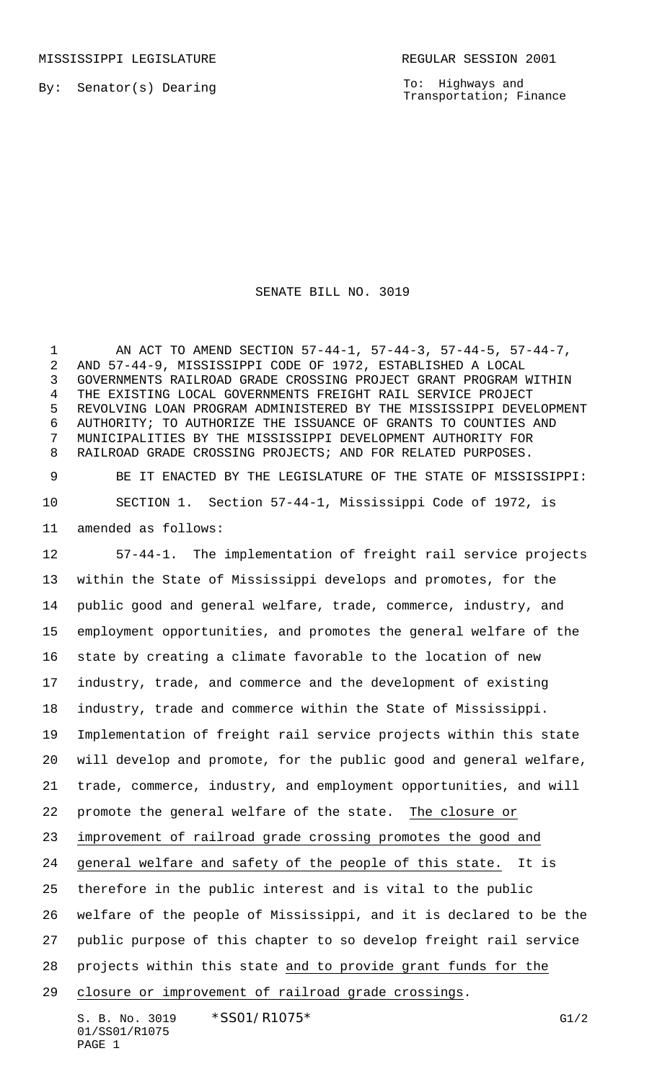MISSISSIPPI LEGISLATURE **REGULAR SESSION 2001** 

By: Senator(s) Dearing

To: Highways and Transportation; Finance

## SENATE BILL NO. 3019

1 AN ACT TO AMEND SECTION 57-44-1, 57-44-3, 57-44-5, 57-44-7, AND 57-44-9, MISSISSIPPI CODE OF 1972, ESTABLISHED A LOCAL GOVERNMENTS RAILROAD GRADE CROSSING PROJECT GRANT PROGRAM WITHIN THE EXISTING LOCAL GOVERNMENTS FREIGHT RAIL SERVICE PROJECT REVOLVING LOAN PROGRAM ADMINISTERED BY THE MISSISSIPPI DEVELOPMENT AUTHORITY; TO AUTHORIZE THE ISSUANCE OF GRANTS TO COUNTIES AND MUNICIPALITIES BY THE MISSISSIPPI DEVELOPMENT AUTHORITY FOR RAILROAD GRADE CROSSING PROJECTS; AND FOR RELATED PURPOSES.

 BE IT ENACTED BY THE LEGISLATURE OF THE STATE OF MISSISSIPPI: SECTION 1. Section 57-44-1, Mississippi Code of 1972, is amended as follows:

 57-44-1. The implementation of freight rail service projects within the State of Mississippi develops and promotes, for the public good and general welfare, trade, commerce, industry, and employment opportunities, and promotes the general welfare of the state by creating a climate favorable to the location of new industry, trade, and commerce and the development of existing industry, trade and commerce within the State of Mississippi. Implementation of freight rail service projects within this state will develop and promote, for the public good and general welfare, trade, commerce, industry, and employment opportunities, and will promote the general welfare of the state. The closure or improvement of railroad grade crossing promotes the good and general welfare and safety of the people of this state. It is therefore in the public interest and is vital to the public welfare of the people of Mississippi, and it is declared to be the public purpose of this chapter to so develop freight rail service projects within this state and to provide grant funds for the closure or improvement of railroad grade crossings.

S. B. No. 3019 \* SSO1/R1075 \* The South of the South Contract of the G1/2 01/SS01/R1075 PAGE 1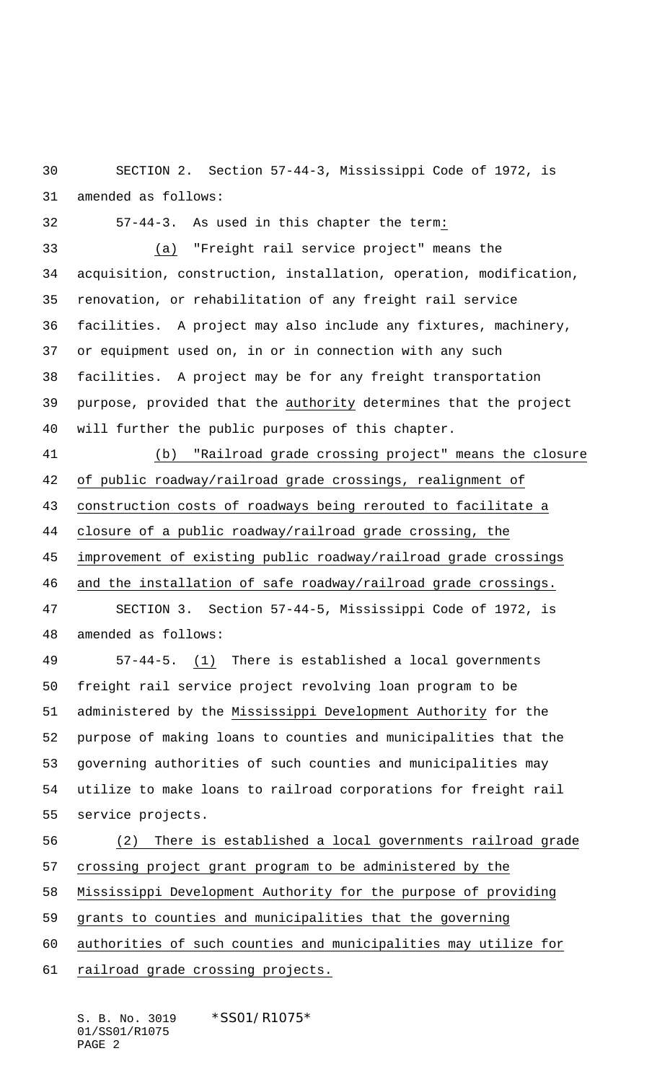SECTION 2. Section 57-44-3, Mississippi Code of 1972, is amended as follows:

57-44-3. As used in this chapter the term:

 (a) "Freight rail service project" means the acquisition, construction, installation, operation, modification, renovation, or rehabilitation of any freight rail service facilities. A project may also include any fixtures, machinery, or equipment used on, in or in connection with any such facilities. A project may be for any freight transportation purpose, provided that the authority determines that the project will further the public purposes of this chapter.

 (b) "Railroad grade crossing project" means the closure of public roadway/railroad grade crossings, realignment of construction costs of roadways being rerouted to facilitate a closure of a public roadway/railroad grade crossing, the improvement of existing public roadway/railroad grade crossings

and the installation of safe roadway/railroad grade crossings.

 SECTION 3. Section 57-44-5, Mississippi Code of 1972, is amended as follows:

 57-44-5. (1) There is established a local governments freight rail service project revolving loan program to be administered by the Mississippi Development Authority for the purpose of making loans to counties and municipalities that the governing authorities of such counties and municipalities may utilize to make loans to railroad corporations for freight rail service projects.

 (2) There is established a local governments railroad grade crossing project grant program to be administered by the Mississippi Development Authority for the purpose of providing

grants to counties and municipalities that the governing

authorities of such counties and municipalities may utilize for

61 railroad grade crossing projects.

S. B. No. 3019 \*SS01/R1075\* 01/SS01/R1075 PAGE 2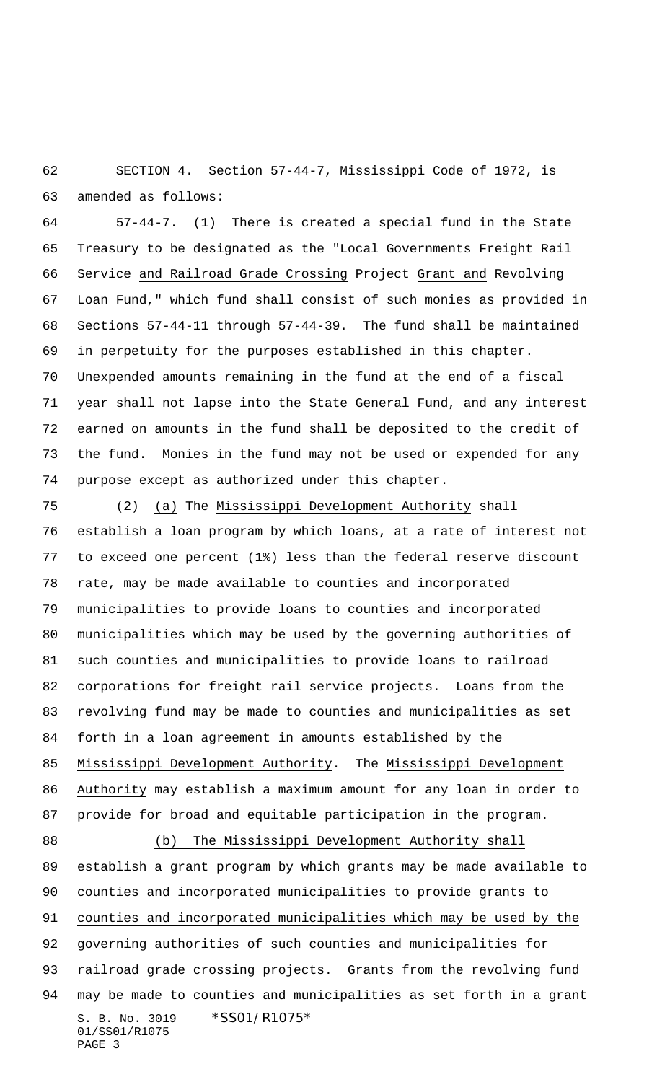SECTION 4. Section 57-44-7, Mississippi Code of 1972, is amended as follows:

 57-44-7. (1) There is created a special fund in the State Treasury to be designated as the "Local Governments Freight Rail Service and Railroad Grade Crossing Project Grant and Revolving Loan Fund," which fund shall consist of such monies as provided in Sections 57-44-11 through 57-44-39. The fund shall be maintained in perpetuity for the purposes established in this chapter. Unexpended amounts remaining in the fund at the end of a fiscal year shall not lapse into the State General Fund, and any interest earned on amounts in the fund shall be deposited to the credit of the fund. Monies in the fund may not be used or expended for any purpose except as authorized under this chapter.

S. B. No. 3019 \*SS01/R1075\* 01/SS01/R1075 PAGE 3 (2) (a) The Mississippi Development Authority shall establish a loan program by which loans, at a rate of interest not to exceed one percent (1%) less than the federal reserve discount rate, may be made available to counties and incorporated municipalities to provide loans to counties and incorporated municipalities which may be used by the governing authorities of such counties and municipalities to provide loans to railroad corporations for freight rail service projects. Loans from the revolving fund may be made to counties and municipalities as set forth in a loan agreement in amounts established by the Mississippi Development Authority. The Mississippi Development Authority may establish a maximum amount for any loan in order to provide for broad and equitable participation in the program. (b) The Mississippi Development Authority shall establish a grant program by which grants may be made available to counties and incorporated municipalities to provide grants to counties and incorporated municipalities which may be used by the governing authorities of such counties and municipalities for 93 railroad grade crossing projects. Grants from the revolving fund may be made to counties and municipalities as set forth in a grant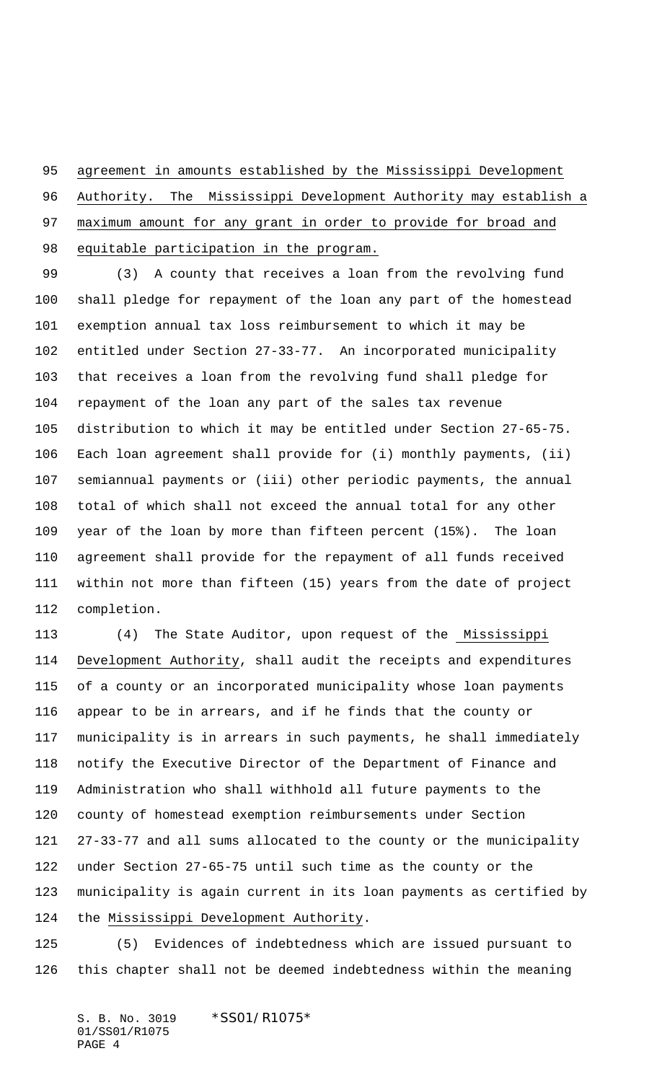agreement in amounts established by the Mississippi Development

Authority. The Mississippi Development Authority may establish a

 maximum amount for any grant in order to provide for broad and equitable participation in the program.

 (3) A county that receives a loan from the revolving fund shall pledge for repayment of the loan any part of the homestead exemption annual tax loss reimbursement to which it may be entitled under Section 27-33-77. An incorporated municipality that receives a loan from the revolving fund shall pledge for repayment of the loan any part of the sales tax revenue distribution to which it may be entitled under Section 27-65-75. Each loan agreement shall provide for (i) monthly payments, (ii) semiannual payments or (iii) other periodic payments, the annual total of which shall not exceed the annual total for any other year of the loan by more than fifteen percent (15%). The loan agreement shall provide for the repayment of all funds received within not more than fifteen (15) years from the date of project completion.

113 (4) The State Auditor, upon request of the Mississippi Development Authority, shall audit the receipts and expenditures of a county or an incorporated municipality whose loan payments appear to be in arrears, and if he finds that the county or municipality is in arrears in such payments, he shall immediately notify the Executive Director of the Department of Finance and Administration who shall withhold all future payments to the county of homestead exemption reimbursements under Section 27-33-77 and all sums allocated to the county or the municipality under Section 27-65-75 until such time as the county or the municipality is again current in its loan payments as certified by the Mississippi Development Authority.

 (5) Evidences of indebtedness which are issued pursuant to this chapter shall not be deemed indebtedness within the meaning

S. B. No. 3019 \*SS01/R1075\* 01/SS01/R1075 PAGE 4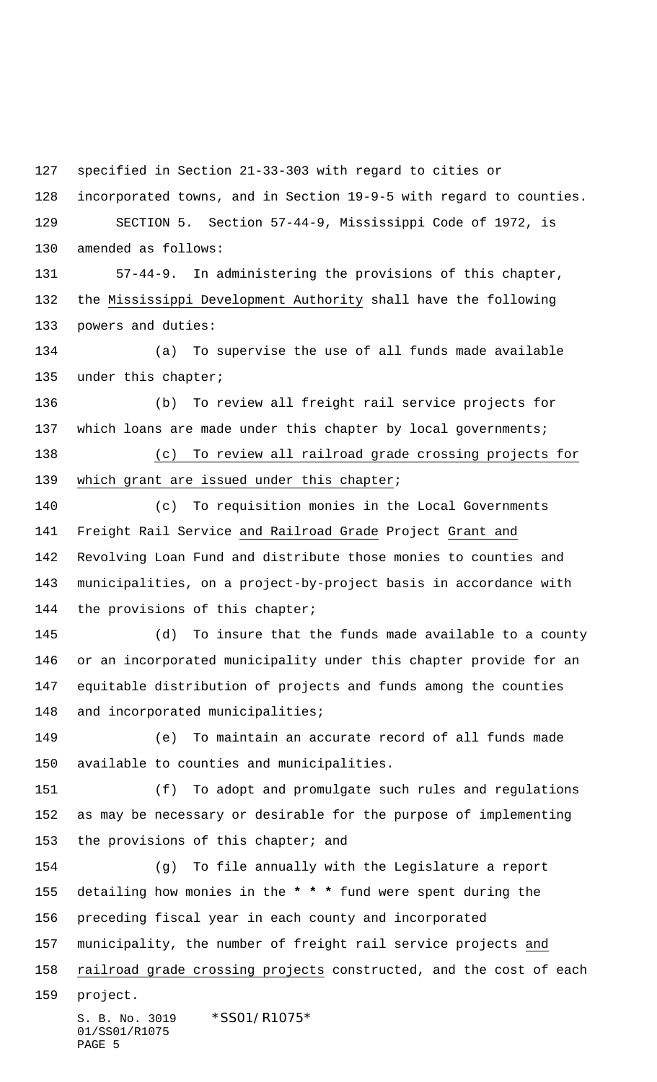specified in Section 21-33-303 with regard to cities or

 incorporated towns, and in Section 19-9-5 with regard to counties. SECTION 5. Section 57-44-9, Mississippi Code of 1972, is

amended as follows:

PAGE 5

 57-44-9. In administering the provisions of this chapter, the Mississippi Development Authority shall have the following powers and duties:

 (a) To supervise the use of all funds made available under this chapter;

 (b) To review all freight rail service projects for 137 which loans are made under this chapter by local governments;

 (c) To review all railroad grade crossing projects for 139 which grant are issued under this chapter;

 (c) To requisition monies in the Local Governments Freight Rail Service and Railroad Grade Project Grant and Revolving Loan Fund and distribute those monies to counties and municipalities, on a project-by-project basis in accordance with 144 the provisions of this chapter;

 (d) To insure that the funds made available to a county or an incorporated municipality under this chapter provide for an equitable distribution of projects and funds among the counties 148 and incorporated municipalities;

 (e) To maintain an accurate record of all funds made available to counties and municipalities.

 (f) To adopt and promulgate such rules and regulations as may be necessary or desirable for the purpose of implementing 153 the provisions of this chapter; and

S. B. No. 3019 \*SS01/R1075\* 01/SS01/R1075 (g) To file annually with the Legislature a report detailing how monies in the **\* \* \*** fund were spent during the preceding fiscal year in each county and incorporated municipality, the number of freight rail service projects and 158 railroad grade crossing projects constructed, and the cost of each project.